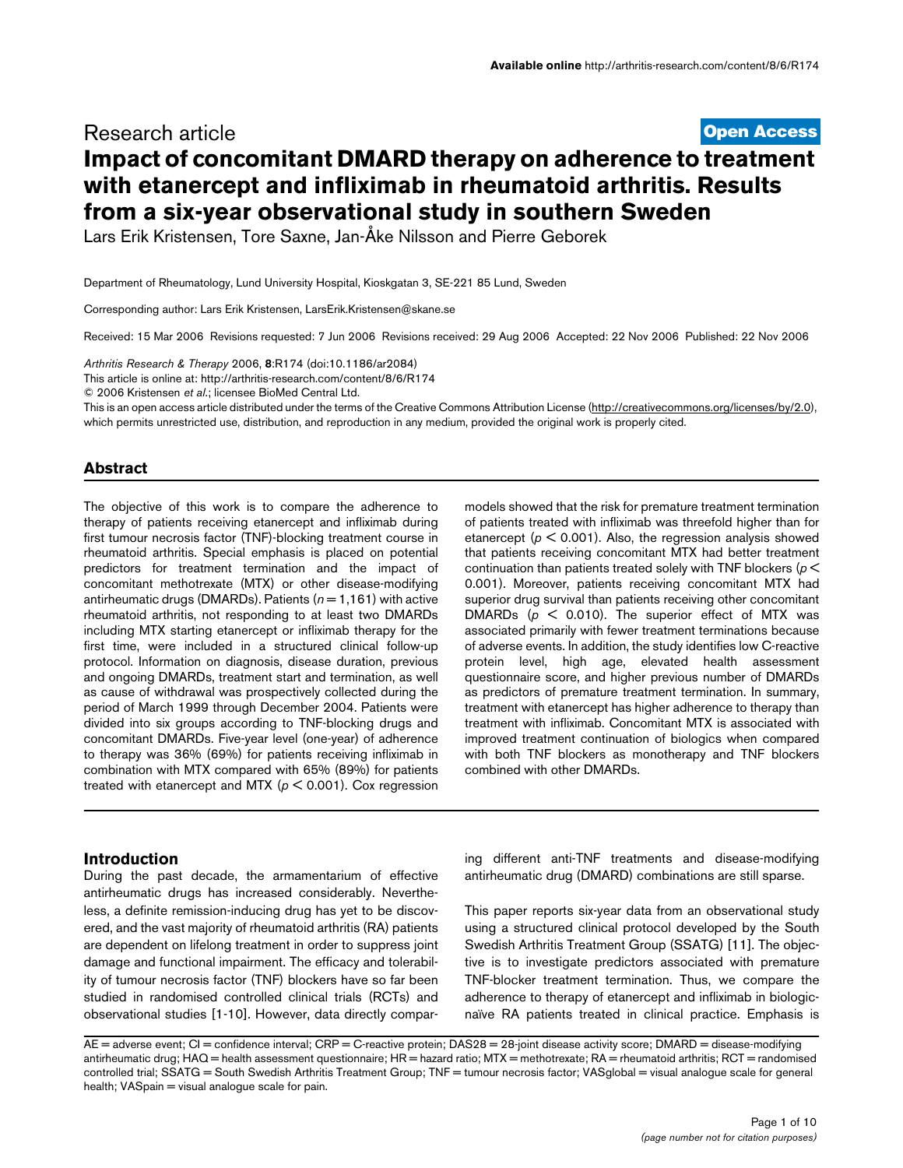# **[Open Access](http://www.biomedcentral.com/info/about/charter/)** Research article **Impact of concomitant DMARD therapy on adherence to treatment with etanercept and infliximab in rheumatoid arthritis. Results from a six-year observational study in southern Sweden**

Lars Erik Kristensen, Tore Saxne, Jan-Åke Nilsson and Pierre Geborek

Department of Rheumatology, Lund University Hospital, Kioskgatan 3, SE-221 85 Lund, Sweden

Corresponding author: Lars Erik Kristensen, LarsErik.Kristensen@skane.se

Received: 15 Mar 2006 Revisions requested: 7 Jun 2006 Revisions received: 29 Aug 2006 Accepted: 22 Nov 2006 Published: 22 Nov 2006

*Arthritis Research & Therapy* 2006, **8**:R174 (doi:10.1186/ar2084)

[This article is online at: http://arthritis-research.com/content/8/6/R174](http://arthritis-research.com/content/8/6/R174)

© 2006 Kristensen *et al*.; licensee BioMed Central Ltd.

This is an open access article distributed under the terms of the Creative Commons Attribution License [\(http://creativecommons.org/licenses/by/2.0\)](http://creativecommons.org/licenses/by/2.0), which permits unrestricted use, distribution, and reproduction in any medium, provided the original work is properly cited.

## **Abstract**

The objective of this work is to compare the adherence to therapy of patients receiving etanercept and infliximab during first tumour necrosis factor (TNF)-blocking treatment course in rheumatoid arthritis. Special emphasis is placed on potential predictors for treatment termination and the impact of concomitant methotrexate (MTX) or other disease-modifying antirheumatic drugs (DMARDs). Patients (*n* = 1,161) with active rheumatoid arthritis, not responding to at least two DMARDs including MTX starting etanercept or infliximab therapy for the first time, were included in a structured clinical follow-up protocol. Information on diagnosis, disease duration, previous and ongoing DMARDs, treatment start and termination, as well as cause of withdrawal was prospectively collected during the period of March 1999 through December 2004. Patients were divided into six groups according to TNF-blocking drugs and concomitant DMARDs. Five-year level (one-year) of adherence to therapy was 36% (69%) for patients receiving infliximab in combination with MTX compared with 65% (89%) for patients treated with etanercept and MTX (*p* < 0.001). Cox regression

models showed that the risk for premature treatment termination of patients treated with infliximab was threefold higher than for etanercept ( $p < 0.001$ ). Also, the regression analysis showed that patients receiving concomitant MTX had better treatment continuation than patients treated solely with TNF blockers (*p* < 0.001). Moreover, patients receiving concomitant MTX had superior drug survival than patients receiving other concomitant DMARDs (*p* < 0.010). The superior effect of MTX was associated primarily with fewer treatment terminations because of adverse events. In addition, the study identifies low C-reactive protein level, high age, elevated health assessment questionnaire score, and higher previous number of DMARDs as predictors of premature treatment termination. In summary, treatment with etanercept has higher adherence to therapy than treatment with infliximab. Concomitant MTX is associated with improved treatment continuation of biologics when compared with both TNF blockers as monotherapy and TNF blockers combined with other DMARDs.

## **Introduction**

During the past decade, the armamentarium of effective antirheumatic drugs has increased considerably. Nevertheless, a definite remission-inducing drug has yet to be discovered, and the vast majority of rheumatoid arthritis (RA) patients are dependent on lifelong treatment in order to suppress joint damage and functional impairment. The efficacy and tolerability of tumour necrosis factor (TNF) blockers have so far been studied in randomised controlled clinical trials (RCTs) and observational studies [1-10]. However, data directly compar-

ing different anti-TNF treatments and disease-modifying antirheumatic drug (DMARD) combinations are still sparse.

This paper reports six-year data from an observational study using a structured clinical protocol developed by the South Swedish Arthritis Treatment Group (SSATG) [11]. The objective is to investigate predictors associated with premature TNF-blocker treatment termination. Thus, we compare the adherence to therapy of etanercept and infliximab in biologicnaïve RA patients treated in clinical practice. Emphasis is

AE = adverse event; CI = confidence interval; CRP = C-reactive protein; DAS28 = 28-joint disease activity score; DMARD = disease-modifying antirheumatic drug; HAQ = health assessment questionnaire; HR = hazard ratio; MTX = methotrexate; RA = rheumatoid arthritis; RCT = randomised controlled trial; SSATG = South Swedish Arthritis Treatment Group; TNF = tumour necrosis factor; VASglobal = visual analogue scale for general health; VASpain = visual analogue scale for pain.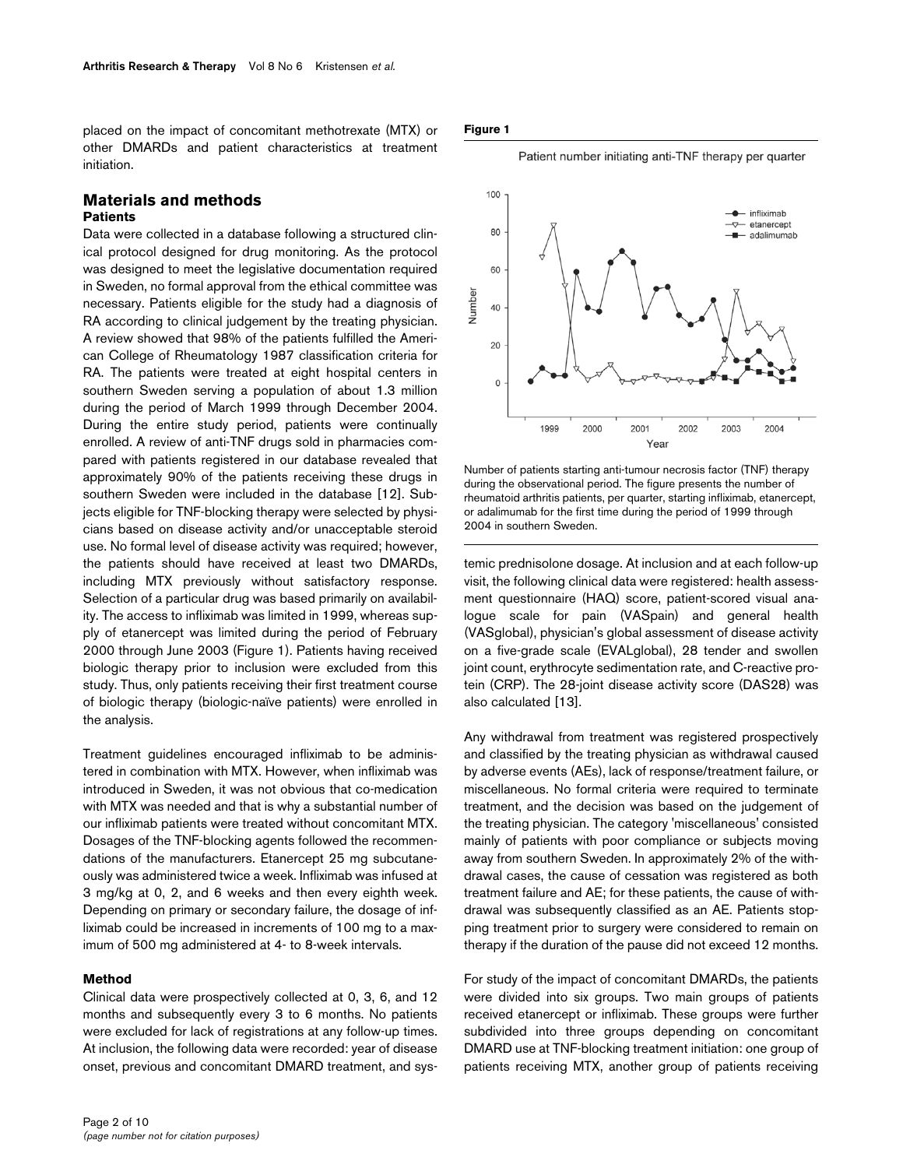placed on the impact of concomitant methotrexate (MTX) or other DMARDs and patient characteristics at treatment initiation.

# **Materials and methods Patients**

Data were collected in a database following a structured clinical protocol designed for drug monitoring. As the protocol was designed to meet the legislative documentation required in Sweden, no formal approval from the ethical committee was necessary. Patients eligible for the study had a diagnosis of RA according to clinical judgement by the treating physician. A review showed that 98% of the patients fulfilled the American College of Rheumatology 1987 classification criteria for RA. The patients were treated at eight hospital centers in southern Sweden serving a population of about 1.3 million during the period of March 1999 through December 2004. During the entire study period, patients were continually enrolled. A review of anti-TNF drugs sold in pharmacies compared with patients registered in our database revealed that approximately 90% of the patients receiving these drugs in southern Sweden were included in the database [12]. Subjects eligible for TNF-blocking therapy were selected by physicians based on disease activity and/or unacceptable steroid use. No formal level of disease activity was required; however, the patients should have received at least two DMARDs, including MTX previously without satisfactory response. Selection of a particular drug was based primarily on availability. The access to infliximab was limited in 1999, whereas supply of etanercept was limited during the period of February 2000 through June 2003 (Figure 1). Patients having received biologic therapy prior to inclusion were excluded from this study. Thus, only patients receiving their first treatment course of biologic therapy (biologic-naïve patients) were enrolled in the analysis.

Treatment guidelines encouraged infliximab to be administered in combination with MTX. However, when infliximab was introduced in Sweden, it was not obvious that co-medication with MTX was needed and that is why a substantial number of our infliximab patients were treated without concomitant MTX. Dosages of the TNF-blocking agents followed the recommendations of the manufacturers. Etanercept 25 mg subcutaneously was administered twice a week. Infliximab was infused at 3 mg/kg at 0, 2, and 6 weeks and then every eighth week. Depending on primary or secondary failure, the dosage of infliximab could be increased in increments of 100 mg to a maximum of 500 mg administered at 4- to 8-week intervals.

## **Method**

Clinical data were prospectively collected at 0, 3, 6, and 12 months and subsequently every 3 to 6 months. No patients were excluded for lack of registrations at any follow-up times. At inclusion, the following data were recorded: year of disease onset, previous and concomitant DMARD treatment, and sys-

*(page number not for citation purposes)*

# **Figure 1**

Patient number initiating anti-TNF therapy per quarter



Number of patients starting anti-tumour necrosis factor (TNF) therapy during the observational period. The figure presents the number of rheumatoid arthritis patients, per quarter, starting infliximab, etanercept, or adalimumab for the first time during the period of 1999 through 2004 in southern Sweden.

temic prednisolone dosage. At inclusion and at each follow-up visit, the following clinical data were registered: health assessment questionnaire (HAQ) score, patient-scored visual analogue scale for pain (VASpain) and general health (VASglobal), physician's global assessment of disease activity on a five-grade scale (EVALglobal), 28 tender and swollen joint count, erythrocyte sedimentation rate, and C-reactive protein (CRP). The 28-joint disease activity score (DAS28) was also calculated [13].

Any withdrawal from treatment was registered prospectively and classified by the treating physician as withdrawal caused by adverse events (AEs), lack of response/treatment failure, or miscellaneous. No formal criteria were required to terminate treatment, and the decision was based on the judgement of the treating physician. The category 'miscellaneous' consisted mainly of patients with poor compliance or subjects moving away from southern Sweden. In approximately 2% of the withdrawal cases, the cause of cessation was registered as both treatment failure and AE; for these patients, the cause of withdrawal was subsequently classified as an AE. Patients stopping treatment prior to surgery were considered to remain on therapy if the duration of the pause did not exceed 12 months.

For study of the impact of concomitant DMARDs, the patients were divided into six groups. Two main groups of patients received etanercept or infliximab. These groups were further subdivided into three groups depending on concomitant DMARD use at TNF-blocking treatment initiation: one group of patients receiving MTX, another group of patients receiving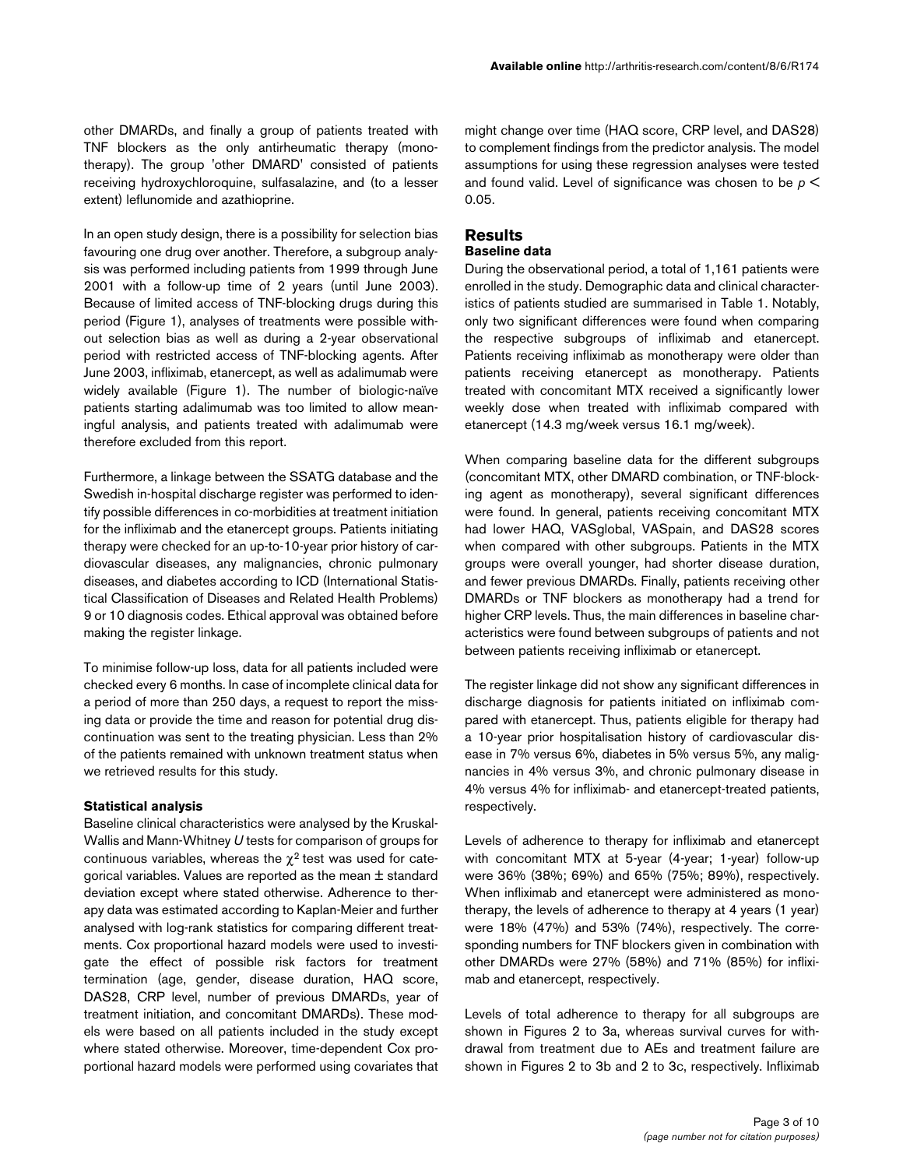other DMARDs, and finally a group of patients treated with TNF blockers as the only antirheumatic therapy (monotherapy). The group 'other DMARD' consisted of patients receiving hydroxychloroquine, sulfasalazine, and (to a lesser extent) leflunomide and azathioprine.

In an open study design, there is a possibility for selection bias favouring one drug over another. Therefore, a subgroup analysis was performed including patients from 1999 through June 2001 with a follow-up time of 2 years (until June 2003). Because of limited access of TNF-blocking drugs during this period (Figure 1), analyses of treatments were possible without selection bias as well as during a 2-year observational period with restricted access of TNF-blocking agents. After June 2003, infliximab, etanercept, as well as adalimumab were widely available (Figure 1). The number of biologic-naïve patients starting adalimumab was too limited to allow meaningful analysis, and patients treated with adalimumab were therefore excluded from this report.

Furthermore, a linkage between the SSATG database and the Swedish in-hospital discharge register was performed to identify possible differences in co-morbidities at treatment initiation for the infliximab and the etanercept groups. Patients initiating therapy were checked for an up-to-10-year prior history of cardiovascular diseases, any malignancies, chronic pulmonary diseases, and diabetes according to ICD (International Statistical Classification of Diseases and Related Health Problems) 9 or 10 diagnosis codes. Ethical approval was obtained before making the register linkage.

To minimise follow-up loss, data for all patients included were checked every 6 months. In case of incomplete clinical data for a period of more than 250 days, a request to report the missing data or provide the time and reason for potential drug discontinuation was sent to the treating physician. Less than 2% of the patients remained with unknown treatment status when we retrieved results for this study.

## **Statistical analysis**

Baseline clinical characteristics were analysed by the Kruskal-Wallis and Mann-Whitney *U* tests for comparison of groups for continuous variables, whereas the  $\chi^2$  test was used for categorical variables. Values are reported as the mean  $\pm$  standard deviation except where stated otherwise. Adherence to therapy data was estimated according to Kaplan-Meier and further analysed with log-rank statistics for comparing different treatments. Cox proportional hazard models were used to investigate the effect of possible risk factors for treatment termination (age, gender, disease duration, HAQ score, DAS28, CRP level, number of previous DMARDs, year of treatment initiation, and concomitant DMARDs). These models were based on all patients included in the study except where stated otherwise. Moreover, time-dependent Cox proportional hazard models were performed using covariates that

might change over time (HAQ score, CRP level, and DAS28) to complement findings from the predictor analysis. The model assumptions for using these regression analyses were tested and found valid. Level of significance was chosen to be *p* < 0.05.

#### **Results Baseline data**

During the observational period, a total of 1,161 patients were enrolled in the study. Demographic data and clinical characteristics of patients studied are summarised in Table 1. Notably, only two significant differences were found when comparing the respective subgroups of infliximab and etanercept. Patients receiving infliximab as monotherapy were older than patients receiving etanercept as monotherapy. Patients treated with concomitant MTX received a significantly lower weekly dose when treated with infliximab compared with etanercept (14.3 mg/week versus 16.1 mg/week).

When comparing baseline data for the different subgroups (concomitant MTX, other DMARD combination, or TNF-blocking agent as monotherapy), several significant differences were found. In general, patients receiving concomitant MTX had lower HAQ, VASglobal, VASpain, and DAS28 scores when compared with other subgroups. Patients in the MTX groups were overall younger, had shorter disease duration, and fewer previous DMARDs. Finally, patients receiving other DMARDs or TNF blockers as monotherapy had a trend for higher CRP levels. Thus, the main differences in baseline characteristics were found between subgroups of patients and not between patients receiving infliximab or etanercept.

The register linkage did not show any significant differences in discharge diagnosis for patients initiated on infliximab compared with etanercept. Thus, patients eligible for therapy had a 10-year prior hospitalisation history of cardiovascular disease in 7% versus 6%, diabetes in 5% versus 5%, any malignancies in 4% versus 3%, and chronic pulmonary disease in 4% versus 4% for infliximab- and etanercept-treated patients, respectively.

Levels of adherence to therapy for infliximab and etanercept with concomitant MTX at 5-year (4-year; 1-year) follow-up were 36% (38%; 69%) and 65% (75%; 89%), respectively. When infliximab and etanercept were administered as monotherapy, the levels of adherence to therapy at 4 years (1 year) were 18% (47%) and 53% (74%), respectively. The corresponding numbers for TNF blockers given in combination with other DMARDs were 27% (58%) and 71% (85%) for infliximab and etanercept, respectively.

Levels of total adherence to therapy for all subgroups are shown in Figures [2](#page-4-0) to [3a](#page-5-0), whereas survival curves for withdrawal from treatment due to AEs and treatment failure are shown in Figures [2](#page-4-0) to [3](#page-5-0)b and [2](#page-4-0) to [3c](#page-5-0), respectively. Infliximab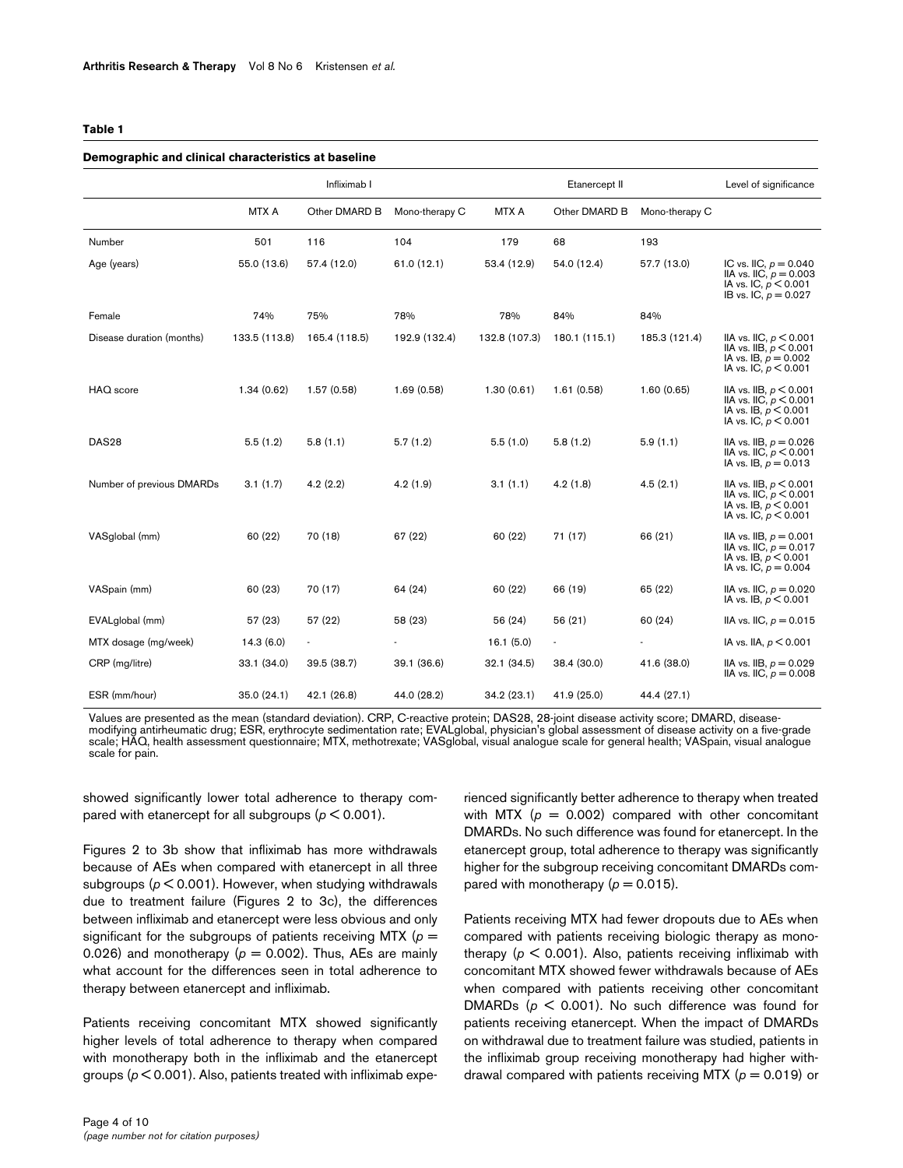#### **Table 1**

| Demographic and clinical characteristics at baseline |  |  |  |
|------------------------------------------------------|--|--|--|
|------------------------------------------------------|--|--|--|

|                           |               | Infliximab I             |                |               | Etanercept II |                | Level of significance                                                                                    |
|---------------------------|---------------|--------------------------|----------------|---------------|---------------|----------------|----------------------------------------------------------------------------------------------------------|
|                           | MTX A         | Other DMARD B            | Mono-therapy C | <b>MTX A</b>  | Other DMARD B | Mono-therapy C |                                                                                                          |
| Number                    | 501           | 116                      | 104            | 179           | 68            | 193            |                                                                                                          |
| Age (years)               | 55.0 (13.6)   | 57.4 (12.0)              | 61.0 (12.1)    | 53.4 (12.9)   | 54.0 (12.4)   | 57.7 (13.0)    | IC vs. IIC, $p = 0.040$<br>IIA vs. IIC, $p = 0.003$<br>IA vs. IC, $p < 0.001$<br>IB vs. IC, $p = 0.027$  |
| Female                    | 74%           | 75%                      | 78%            | 78%           | 84%           | 84%            |                                                                                                          |
| Disease duration (months) | 133.5 (113.8) | 165.4 (118.5)            | 192.9 (132.4)  | 132.8 (107.3) | 180.1 (115.1) | 185.3 (121.4)  | IIA vs. IIC, $p < 0.001$<br>IIA vs. IIB, $p < 0.001$<br>IA vs. IB, $p = 0.002$<br>IA vs. IC, $p < 0.001$ |
| HAQ score                 | 1.34(0.62)    | 1.57(0.58)               | 1.69(0.58)     | 1.30(0.61)    | 1.61(0.58)    | 1.60(0.65)     | IIA vs. IIB, $p < 0.001$<br>IIA vs. IIC, $p < 0.001$<br>IA vs. IB, $p < 0.001$<br>IA vs. IC, $p < 0.001$ |
| DAS <sub>28</sub>         | 5.5(1.2)      | 5.8(1.1)                 | 5.7(1.2)       | 5.5(1.0)      | 5.8(1.2)      | 5.9(1.1)       | IIA vs. IIB, $p = 0.026$<br>IIA vs. IIC, $p < 0.001$<br>IA vs. IB, $p = 0.013$                           |
| Number of previous DMARDs | 3.1(1.7)      | 4.2(2.2)                 | 4.2(1.9)       | 3.1(1.1)      | 4.2(1.8)      | 4.5(2.1)       | IIA vs. IIB, $p < 0.001$<br>IIA vs. IIC, $p < 0.001$<br>IA vs. IB, $p < 0.001$<br>IA vs. IC, $p < 0.001$ |
| VASglobal (mm)            | 60 (22)       | 70 (18)                  | 67 (22)        | 60 (22)       | 71(17)        | 66 (21)        | IIA vs. IIB, $p = 0.001$<br>IIA vs. IIC, $p = 0.017$<br>IA vs. IB, $p < 0.001$<br>IA vs. IC, $p = 0.004$ |
| VASpain (mm)              | 60 (23)       | 70 (17)                  | 64 (24)        | 60 (22)       | 66 (19)       | 65 (22)        | IIA vs. IIC, $p = 0.020$<br>IA vs. IB, $p < 0.001$                                                       |
| EVALglobal (mm)           | 57 (23)       | 57 (22)                  | 58 (23)        | 56 (24)       | 56 (21)       | 60 (24)        | IIA vs. IIC, $p = 0.015$                                                                                 |
| MTX dosage (mg/week)      | 14.3(6.0)     | $\overline{\phantom{a}}$ |                | 16.1(5.0)     |               |                | IA vs. IIA, $p < 0.001$                                                                                  |
| CRP (mg/litre)            | 33.1 (34.0)   | 39.5 (38.7)              | 39.1 (36.6)    | 32.1 (34.5)   | 38.4 (30.0)   | 41.6 (38.0)    | IIA vs. IIB, $p = 0.029$<br>IIA vs. IIC, $p = 0.008$                                                     |
| ESR (mm/hour)             | 35.0 (24.1)   | 42.1 (26.8)              | 44.0 (28.2)    | 34.2(23.1)    | 41.9 (25.0)   | 44.4 (27.1)    |                                                                                                          |

Values are presented as the mean (standard deviation). CRP, C-reactive protein; DAS28, 28-joint disease activity score; DMARD, diseasemodifying antirheumatic drug; ESR, erythrocyte sedimentation rate; EVALglobal, physician's global assessment of disease activity on a five-grade scale; HAQ, health assessment questionnaire; MTX, methotrexate; VASglobal, visual analogue scale for general health; VASpain, visual analogue scale for pain.

showed significantly lower total adherence to therapy compared with etanercept for all subgroups (*p* < 0.001).

Figures [2](#page-4-0) to [3b](#page-5-0) show that infliximab has more withdrawals because of AEs when compared with etanercept in all three subgroups (*p* < 0.001). However, when studying withdrawals due to treatment failure (Figures [2](#page-4-0) to [3c](#page-5-0)), the differences between infliximab and etanercept were less obvious and only significant for the subgroups of patients receiving MTX ( $p =$ 0.026) and monotherapy  $(p = 0.002)$ . Thus, AEs are mainly what account for the differences seen in total adherence to therapy between etanercept and infliximab.

Patients receiving concomitant MTX showed significantly higher levels of total adherence to therapy when compared with monotherapy both in the infliximab and the etanercept groups (*p* < 0.001). Also, patients treated with infliximab experienced significantly better adherence to therapy when treated with MTX  $(p = 0.002)$  compared with other concomitant DMARDs. No such difference was found for etanercept. In the etanercept group, total adherence to therapy was significantly higher for the subgroup receiving concomitant DMARDs compared with monotherapy  $(p = 0.015)$ .

Patients receiving MTX had fewer dropouts due to AEs when compared with patients receiving biologic therapy as monotherapy  $(p < 0.001)$ . Also, patients receiving infliximab with concomitant MTX showed fewer withdrawals because of AEs when compared with patients receiving other concomitant DMARDs (*p* < 0.001). No such difference was found for patients receiving etanercept. When the impact of DMARDs on withdrawal due to treatment failure was studied, patients in the infliximab group receiving monotherapy had higher withdrawal compared with patients receiving MTX ( $p = 0.019$ ) or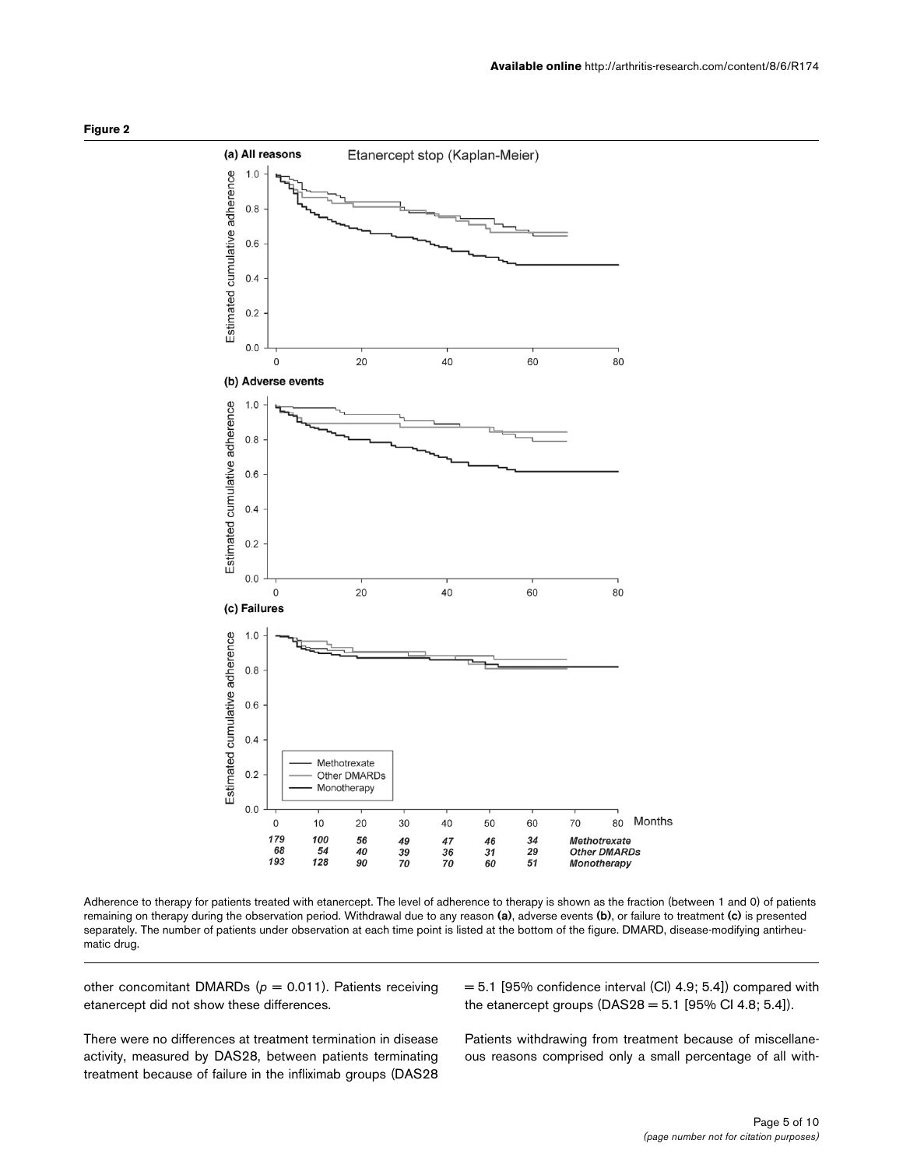<span id="page-4-0"></span>

Adherence to therapy for patients treated with etanercept. The level of adherence to therapy is shown as the fraction (between 1 and 0) of patients remaining on therapy during the observation period. Withdrawal due to any reason **(a)**, adverse events **(b)**, or failure to treatment **(c)** is presented separately. The number of patients under observation at each time point is listed at the bottom of the figure. DMARD, disease-modifying antirheumatic drug.

other concomitant DMARDs  $(p = 0.011)$ . Patients receiving etanercept did not show these differences.

There were no differences at treatment termination in disease activity, measured by DAS28, between patients terminating treatment because of failure in the infliximab groups (DAS28  $= 5.1$  [95% confidence interval (CI) 4.9; 5.4]) compared with the etanercept groups  $(DAS28 = 5.1$  [95% Cl 4.8; 5.4]).

Patients withdrawing from treatment because of miscellaneous reasons comprised only a small percentage of all with-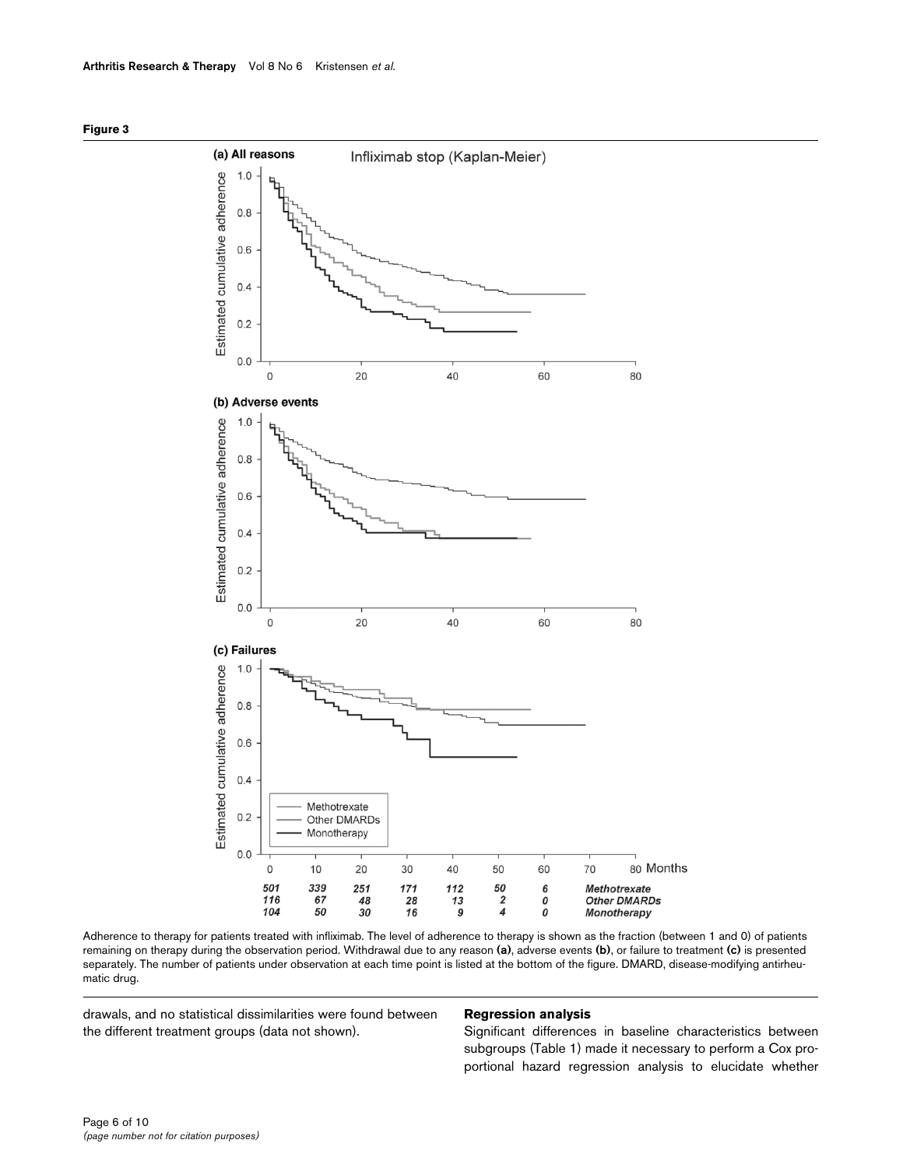<span id="page-5-0"></span>



Adherence to therapy for patients treated with infliximab. The level of adherence to therapy is shown as the fraction (between 1 and 0) of patients remaining on therapy during the observation period. Withdrawal due to any reason **(a)**, adverse events **(b)**, or failure to treatment **(c)** is presented separately. The number of patients under observation at each time point is listed at the bottom of the figure. DMARD, disease-modifying antirheumatic drug.

drawals, and no statistical dissimilarities were found between the different treatment groups (data not shown).

#### **Regression analysis**

Significant differences in baseline characteristics between subgroups (Table 1) made it necessary to perform a Cox proportional hazard regression analysis to elucidate whether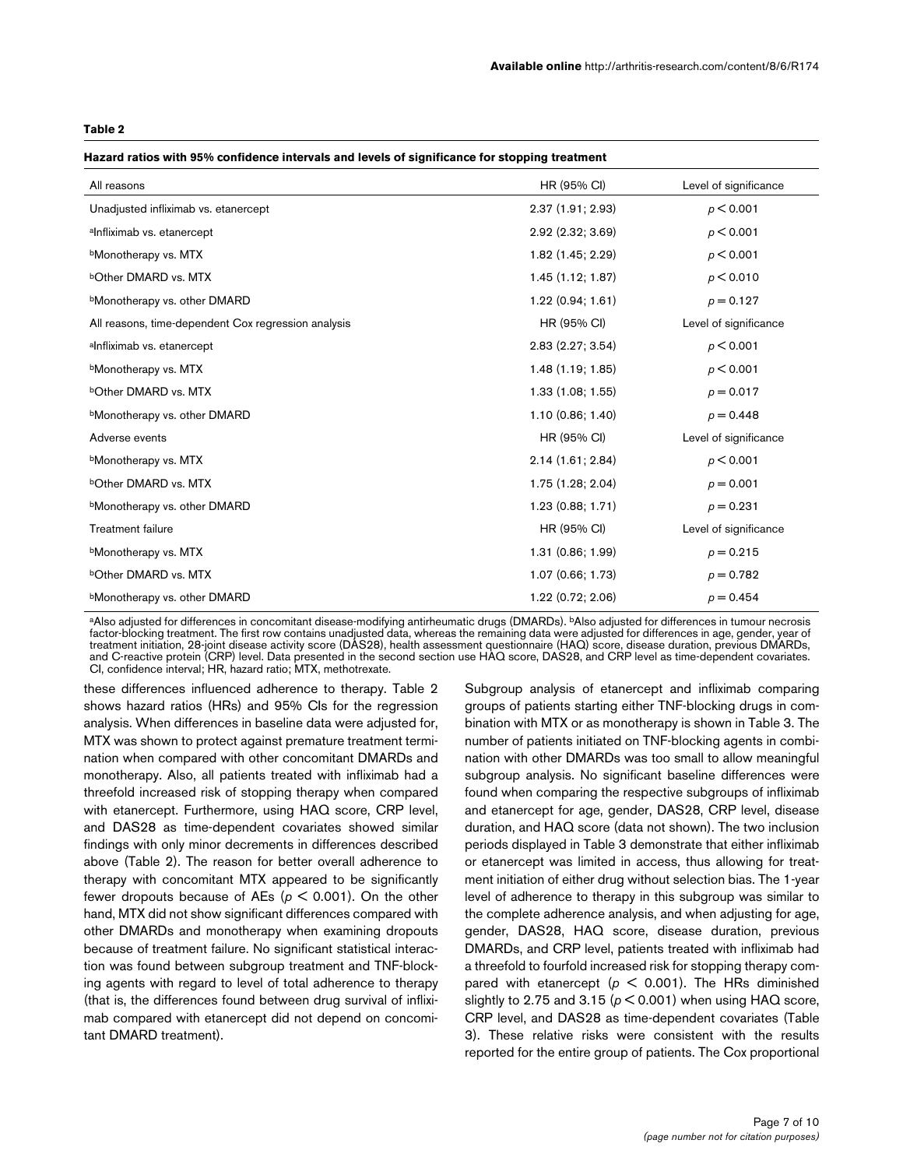#### **Table 2**

| Hazard ratios with 95% confidence intervals and levels of significance for stopping treatment |                   |                       |  |  |
|-----------------------------------------------------------------------------------------------|-------------------|-----------------------|--|--|
| All reasons                                                                                   | HR (95% CI)       | Level of significance |  |  |
| Unadjusted infliximab vs. etanercept                                                          | 2.37 (1.91; 2.93) | p < 0.001             |  |  |
| aInfliximab vs. etanercept                                                                    | 2.92(2.32; 3.69)  | p < 0.001             |  |  |
| bMonotherapy vs. MTX                                                                          | 1.82 (1.45; 2.29) | p < 0.001             |  |  |
| <b>bOther DMARD vs. MTX</b>                                                                   | 1.45(1.12; 1.87)  | p < 0.010             |  |  |
| bMonotherapy vs. other DMARD                                                                  | 1.22(0.94; 1.61)  | $p = 0.127$           |  |  |
| All reasons, time-dependent Cox regression analysis                                           | HR (95% CI)       | Level of significance |  |  |
| aInfliximab vs. etanercept                                                                    | 2.83 (2.27; 3.54) | p < 0.001             |  |  |
| bMonotherapy vs. MTX                                                                          | 1.48(1.19; 1.85)  | p < 0.001             |  |  |
| <b>bOther DMARD vs. MTX</b>                                                                   | 1.33(1.08; 1.55)  | $p = 0.017$           |  |  |
| bMonotherapy vs. other DMARD                                                                  | 1.10(0.86; 1.40)  | $p = 0.448$           |  |  |
| Adverse events                                                                                | HR (95% CI)       | Level of significance |  |  |
| bMonotherapy vs. MTX                                                                          | 2.14(1.61; 2.84)  | p < 0.001             |  |  |
| <b>bOther DMARD vs. MTX</b>                                                                   | 1.75 (1.28; 2.04) | $p = 0.001$           |  |  |
| bMonotherapy vs. other DMARD                                                                  | 1.23(0.88; 1.71)  | $p = 0.231$           |  |  |
| <b>Treatment failure</b>                                                                      | HR (95% CI)       | Level of significance |  |  |
| bMonotherapy vs. MTX                                                                          | 1.31 (0.86; 1.99) | $p = 0.215$           |  |  |
| bOther DMARD vs. MTX                                                                          | 1.07(0.66; 1.73)  | $p = 0.782$           |  |  |
| bMonotherapy vs. other DMARD                                                                  | 1.22(0.72; 2.06)  | $p = 0.454$           |  |  |

aAlso adjusted for differences in concomitant disease-modifying antirheumatic drugs (DMARDs). bAlso adjusted for differences in tumour necrosis factor-blocking treatment. The first row contains unadjusted data, whereas the remaining data were adjusted for differences in age, gender, year of treatment initiation, 28-joint disease activity score (DAS28), health assessment questionnaire (HAQ) score, disease duration, previous DMARDs, and C-reactive protein (CRP) level. Data presented in the second section use HAQ score, DAS28, and CRP level as time-dependent covariates. CI, confidence interval; HR, hazard ratio; MTX, methotrexate.

these differences influenced adherence to therapy. Table 2 shows hazard ratios (HRs) and 95% CIs for the regression analysis. When differences in baseline data were adjusted for, MTX was shown to protect against premature treatment termination when compared with other concomitant DMARDs and monotherapy. Also, all patients treated with infliximab had a threefold increased risk of stopping therapy when compared with etanercept. Furthermore, using HAQ score, CRP level, and DAS28 as time-dependent covariates showed similar findings with only minor decrements in differences described above (Table 2). The reason for better overall adherence to therapy with concomitant MTX appeared to be significantly fewer dropouts because of AEs (*p* < 0.001). On the other hand, MTX did not show significant differences compared with other DMARDs and monotherapy when examining dropouts because of treatment failure. No significant statistical interaction was found between subgroup treatment and TNF-blocking agents with regard to level of total adherence to therapy (that is, the differences found between drug survival of infliximab compared with etanercept did not depend on concomitant DMARD treatment).

Subgroup analysis of etanercept and infliximab comparing groups of patients starting either TNF-blocking drugs in combination with MTX or as monotherapy is shown in Table 3. The number of patients initiated on TNF-blocking agents in combination with other DMARDs was too small to allow meaningful subgroup analysis. No significant baseline differences were found when comparing the respective subgroups of infliximab and etanercept for age, gender, DAS28, CRP level, disease duration, and HAQ score (data not shown). The two inclusion periods displayed in Table 3 demonstrate that either infliximab or etanercept was limited in access, thus allowing for treatment initiation of either drug without selection bias. The 1-year level of adherence to therapy in this subgroup was similar to the complete adherence analysis, and when adjusting for age, gender, DAS28, HAQ score, disease duration, previous DMARDs, and CRP level, patients treated with infliximab had a threefold to fourfold increased risk for stopping therapy compared with etanercept ( $p < 0.001$ ). The HRs diminished slightly to 2.75 and 3.15 ( $p < 0.001$ ) when using HAQ score, CRP level, and DAS28 as time-dependent covariates (Table 3). These relative risks were consistent with the results reported for the entire group of patients. The Cox proportional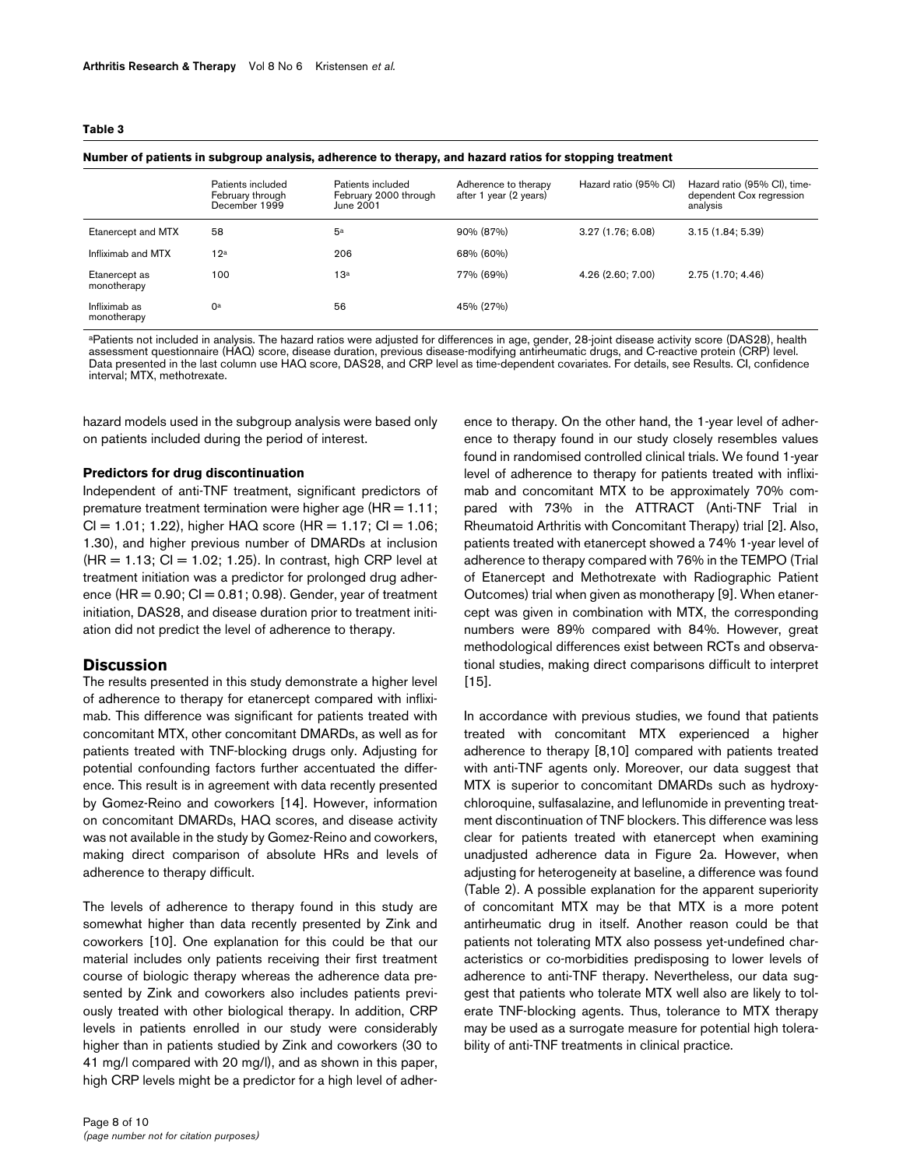#### **Table 3**

#### **Number of patients in subgroup analysis, adherence to therapy, and hazard ratios for stopping treatment**

|                              | Patients included<br>February through<br>December 1999 | Patients included<br>February 2000 through<br>June 2001 | Adherence to therapy<br>after 1 year (2 years) | Hazard ratio (95% CI) | Hazard ratio (95% CI), time-<br>dependent Cox regression<br>analysis |
|------------------------------|--------------------------------------------------------|---------------------------------------------------------|------------------------------------------------|-----------------------|----------------------------------------------------------------------|
| Etanercept and MTX           | 58                                                     | 5 <sup>a</sup>                                          | 90% (87%)                                      | 3.27(1.76; 6.08)      | 3.15(1.84; 5.39)                                                     |
| Infliximab and MTX           | 12 <sup>a</sup>                                        | 206                                                     | 68% (60%)                                      |                       |                                                                      |
| Etanercept as<br>monotherapy | 100                                                    | 13 <sup>a</sup>                                         | 77% (69%)                                      | 4.26 (2.60; 7.00)     | 2.75 (1.70; 4.46)                                                    |
| Infliximab as<br>monotherapy | Oa                                                     | 56                                                      | 45% (27%)                                      |                       |                                                                      |

aPatients not included in analysis. The hazard ratios were adjusted for differences in age, gender, 28-joint disease activity score (DAS28), health assessment questionnaire (HAQ) score, disease duration, previous disease-modifying antirheumatic drugs, and C-reactive protein (CRP) level. Data presented in the last column use HAQ score, DAS28, and CRP level as time-dependent covariates. For details, see Results. CI, confidence interval; MTX, methotrexate.

hazard models used in the subgroup analysis were based only on patients included during the period of interest.

## **Predictors for drug discontinuation**

Independent of anti-TNF treatment, significant predictors of premature treatment termination were higher age ( $HR = 1.11$ ;  $Cl = 1.01$ ; 1.22), higher HAQ score (HR = 1.17;  $Cl = 1.06$ ; 1.30), and higher previous number of DMARDs at inclusion  $(HR = 1.13; Cl = 1.02; 1.25)$ . In contrast, high CRP level at treatment initiation was a predictor for prolonged drug adherence (HR  $= 0.90$ ; CI  $= 0.81$ ; 0.98). Gender, year of treatment initiation, DAS28, and disease duration prior to treatment initiation did not predict the level of adherence to therapy.

# **Discussion**

The results presented in this study demonstrate a higher level of adherence to therapy for etanercept compared with infliximab. This difference was significant for patients treated with concomitant MTX, other concomitant DMARDs, as well as for patients treated with TNF-blocking drugs only. Adjusting for potential confounding factors further accentuated the difference. This result is in agreement with data recently presented by Gomez-Reino and coworkers [14]. However, information on concomitant DMARDs, HAQ scores, and disease activity was not available in the study by Gomez-Reino and coworkers, making direct comparison of absolute HRs and levels of adherence to therapy difficult.

The levels of adherence to therapy found in this study are somewhat higher than data recently presented by Zink and coworkers [10]. One explanation for this could be that our material includes only patients receiving their first treatment course of biologic therapy whereas the adherence data presented by Zink and coworkers also includes patients previously treated with other biological therapy. In addition, CRP levels in patients enrolled in our study were considerably higher than in patients studied by Zink and coworkers (30 to 41 mg/l compared with 20 mg/l), and as shown in this paper, high CRP levels might be a predictor for a high level of adherence to therapy. On the other hand, the 1-year level of adherence to therapy found in our study closely resembles values found in randomised controlled clinical trials. We found 1-year level of adherence to therapy for patients treated with infliximab and concomitant MTX to be approximately 70% compared with 73% in the ATTRACT (Anti-TNF Trial in Rheumatoid Arthritis with Concomitant Therapy) trial [2]. Also, patients treated with etanercept showed a 74% 1-year level of adherence to therapy compared with 76% in the TEMPO (Trial of Etanercept and Methotrexate with Radiographic Patient Outcomes) trial when given as monotherapy [9]. When etanercept was given in combination with MTX, the corresponding numbers were 89% compared with 84%. However, great methodological differences exist between RCTs and observational studies, making direct comparisons difficult to interpret [15].

In accordance with previous studies, we found that patients treated with concomitant MTX experienced a higher adherence to therapy [8,10] compared with patients treated with anti-TNF agents only. Moreover, our data suggest that MTX is superior to concomitant DMARDs such as hydroxychloroquine, sulfasalazine, and leflunomide in preventing treatment discontinuation of TNF blockers. This difference was less clear for patients treated with etanercept when examining unadjusted adherence data in Figure [2a](#page-4-0). However, when adjusting for heterogeneity at baseline, a difference was found (Table 2). A possible explanation for the apparent superiority of concomitant MTX may be that MTX is a more potent antirheumatic drug in itself. Another reason could be that patients not tolerating MTX also possess yet-undefined characteristics or co-morbidities predisposing to lower levels of adherence to anti-TNF therapy. Nevertheless, our data suggest that patients who tolerate MTX well also are likely to tolerate TNF-blocking agents. Thus, tolerance to MTX therapy may be used as a surrogate measure for potential high tolerability of anti-TNF treatments in clinical practice.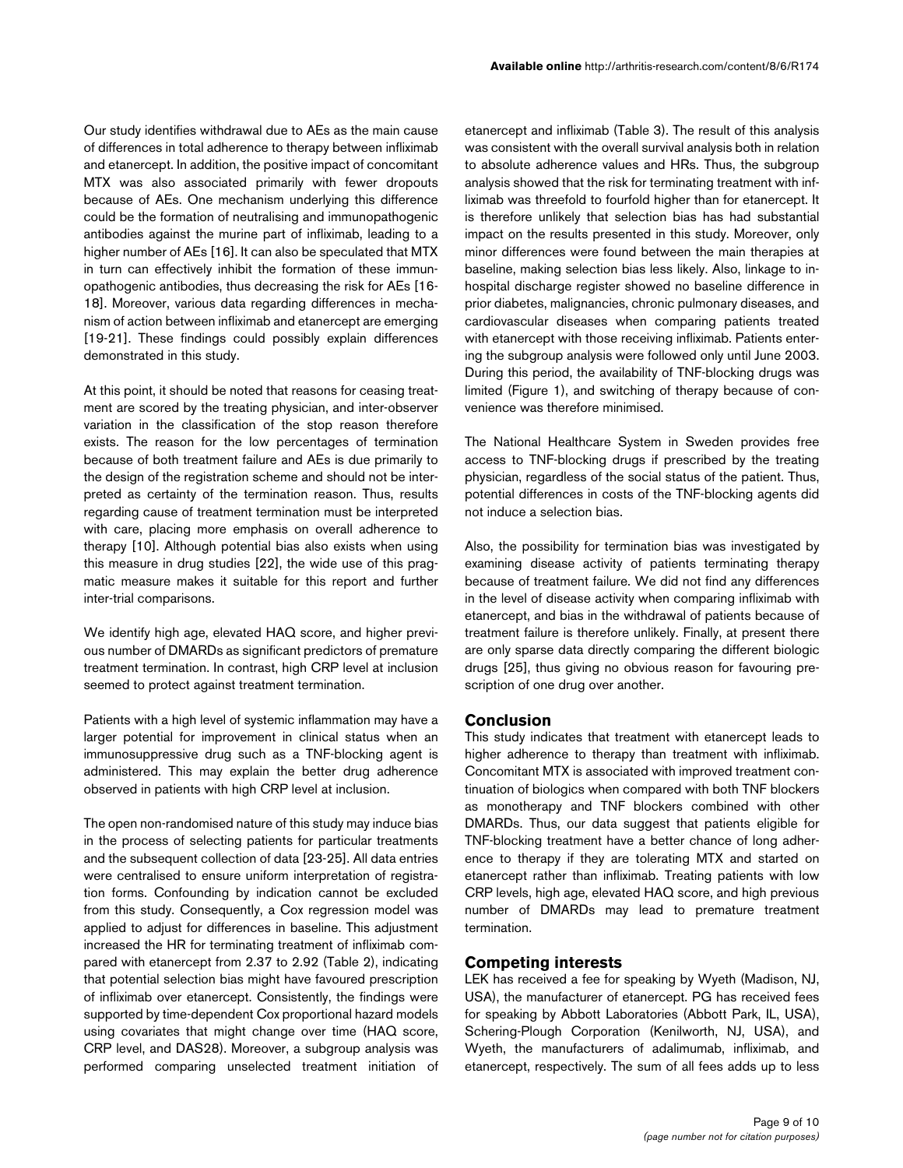Our study identifies withdrawal due to AEs as the main cause of differences in total adherence to therapy between infliximab and etanercept. In addition, the positive impact of concomitant MTX was also associated primarily with fewer dropouts because of AEs. One mechanism underlying this difference could be the formation of neutralising and immunopathogenic antibodies against the murine part of infliximab, leading to a higher number of AEs [16]. It can also be speculated that MTX in turn can effectively inhibit the formation of these immunopathogenic antibodies, thus decreasing the risk for AEs [16- 18]. Moreover, various data regarding differences in mechanism of action between infliximab and etanercept are emerging [19-21]. These findings could possibly explain differences demonstrated in this study.

At this point, it should be noted that reasons for ceasing treatment are scored by the treating physician, and inter-observer variation in the classification of the stop reason therefore exists. The reason for the low percentages of termination because of both treatment failure and AEs is due primarily to the design of the registration scheme and should not be interpreted as certainty of the termination reason. Thus, results regarding cause of treatment termination must be interpreted with care, placing more emphasis on overall adherence to therapy [10]. Although potential bias also exists when using this measure in drug studies [22], the wide use of this pragmatic measure makes it suitable for this report and further inter-trial comparisons.

We identify high age, elevated HAQ score, and higher previous number of DMARDs as significant predictors of premature treatment termination. In contrast, high CRP level at inclusion seemed to protect against treatment termination.

Patients with a high level of systemic inflammation may have a larger potential for improvement in clinical status when an immunosuppressive drug such as a TNF-blocking agent is administered. This may explain the better drug adherence observed in patients with high CRP level at inclusion.

The open non-randomised nature of this study may induce bias in the process of selecting patients for particular treatments and the subsequent collection of data [23-25]. All data entries were centralised to ensure uniform interpretation of registration forms. Confounding by indication cannot be excluded from this study. Consequently, a Cox regression model was applied to adjust for differences in baseline. This adjustment increased the HR for terminating treatment of infliximab compared with etanercept from 2.37 to 2.92 (Table 2), indicating that potential selection bias might have favoured prescription of infliximab over etanercept. Consistently, the findings were supported by time-dependent Cox proportional hazard models using covariates that might change over time (HAQ score, CRP level, and DAS28). Moreover, a subgroup analysis was performed comparing unselected treatment initiation of

etanercept and infliximab (Table 3). The result of this analysis was consistent with the overall survival analysis both in relation to absolute adherence values and HRs. Thus, the subgroup analysis showed that the risk for terminating treatment with infliximab was threefold to fourfold higher than for etanercept. It is therefore unlikely that selection bias has had substantial impact on the results presented in this study. Moreover, only minor differences were found between the main therapies at baseline, making selection bias less likely. Also, linkage to inhospital discharge register showed no baseline difference in prior diabetes, malignancies, chronic pulmonary diseases, and cardiovascular diseases when comparing patients treated with etanercept with those receiving infliximab. Patients entering the subgroup analysis were followed only until June 2003. During this period, the availability of TNF-blocking drugs was limited (Figure 1), and switching of therapy because of convenience was therefore minimised.

The National Healthcare System in Sweden provides free access to TNF-blocking drugs if prescribed by the treating physician, regardless of the social status of the patient. Thus, potential differences in costs of the TNF-blocking agents did not induce a selection bias.

Also, the possibility for termination bias was investigated by examining disease activity of patients terminating therapy because of treatment failure. We did not find any differences in the level of disease activity when comparing infliximab with etanercept, and bias in the withdrawal of patients because of treatment failure is therefore unlikely. Finally, at present there are only sparse data directly comparing the different biologic drugs [25], thus giving no obvious reason for favouring prescription of one drug over another.

## **Conclusion**

This study indicates that treatment with etanercept leads to higher adherence to therapy than treatment with infliximab. Concomitant MTX is associated with improved treatment continuation of biologics when compared with both TNF blockers as monotherapy and TNF blockers combined with other DMARDs. Thus, our data suggest that patients eligible for TNF-blocking treatment have a better chance of long adherence to therapy if they are tolerating MTX and started on etanercept rather than infliximab. Treating patients with low CRP levels, high age, elevated HAQ score, and high previous number of DMARDs may lead to premature treatment termination.

## **Competing interests**

LEK has received a fee for speaking by Wyeth (Madison, NJ, USA), the manufacturer of etanercept. PG has received fees for speaking by Abbott Laboratories (Abbott Park, IL, USA), Schering-Plough Corporation (Kenilworth, NJ, USA), and Wyeth, the manufacturers of adalimumab, infliximab, and etanercept, respectively. The sum of all fees adds up to less